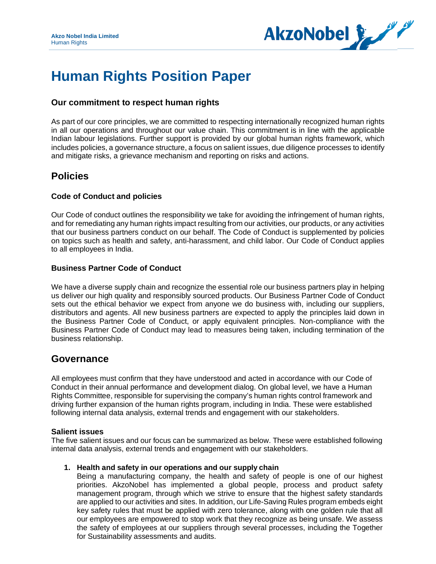

# **Human Rights Position Paper**

## **Our commitment to respect human rights**

As part of [our core principles,](https://www.akzonobel.com/about-us/how-we-operate/our-core-principles-and-values) we are committed to respecting internationally recognized human rights in all our operations and throughout our value chain. This commitment is in line with the applicable Indian labour legislations. Further support is provided by our global human rights framework, which includes policies, a governance structure, a focus on salient issues, due diligence processes to identify and mitigate risks, a grievance mechanism and reporting on risks and actions.

# **Policies**

### **Code of Conduct and policies**

Our Code of conduct outlines the responsibility we take for avoiding the infringement of human rights, and for remediating any human rights impact resulting from our activities, our products, or any activities that our business partners conduct on our behalf. The Code of Conduct is supplemented by policies on topics such as health and safety, anti-harassment, and child labor. Our [Code of](http://report.akzonobel.com/2016/ar/servicepages/glossary.html#codeofconduct) [Conduct a](http://report.akzonobel.com/2016/ar/servicepages/glossary.html#codeofconduct)pplies to all employees in India.

#### **Business Partner Code of Conduct**

We have a diverse supply chain and recognize the essential role our business partners play in helping us deliver our high quality and responsibly sourced products. Our [Business Partner Code of](http://codeofconduct.akzonobel.com/static/codeofconduct/pdf/CoC_Businesspartners_Signature_UK.pdf) [Conduct](http://codeofconduct.akzonobel.com/static/codeofconduct/pdf/CoC_Businesspartners_Signature_UK.pdf)  sets out the ethical behavior we expect from anyone we do business with, including our suppliers, distributors and agents. All new business partners are expected to apply the principles laid down in the Business Partner Code of Conduct, or apply equivalent principles. Non-compliance with the [Business Partner Code of Conduct m](http://report.akzonobel.com/2016/ar/servicepages/glossary.html#businesspartnercodeofconduct)ay lead to measures being taken, including termination of the business relationship.

## **Governance**

All employees must confirm that they have understood and acted in accordance with our Code of Conduct in their annual [performance and development dialog.](http://report.akzonobel.com/2016/ar/servicepages/glossary.html#pddialog) On global level, we have a Human Rights Committee, responsible for supervising the company's human rights control framework and driving further expansion of the human rights program, including in India. These were established following internal data analysis, external trends and engagement with our stakeholders.

#### **Salient issues**

The five salient issues and our focus can be summarized as below. These were established following internal data analysis, external trends and engagement with our stakeholders.

#### **1. Health and safety in our operations and our supply chain**

Being a manufacturing company, the health and safety of people is one of our highest priorities. AkzoNobel has implemented a global people, process and product safety management program, through which we strive to ensure that the highest safety standards are applied to our activities and sites. In addition, our Life-Saving Rules program embeds eight key safety rules that must be applied with zero tolerance, along with one golden rule that all our employees are empowered to stop work that they recognize as being unsafe. We assess the safety of employees at our suppliers through several processes, including the [Together](http://report.akzonobel.com/2016/ar/servicepages/search.php?q=SSV&pageID=44743)  [for Sustainability a](http://report.akzonobel.com/2016/ar/servicepages/search.php?q=SSV&pageID=44743)ssessments and audits.